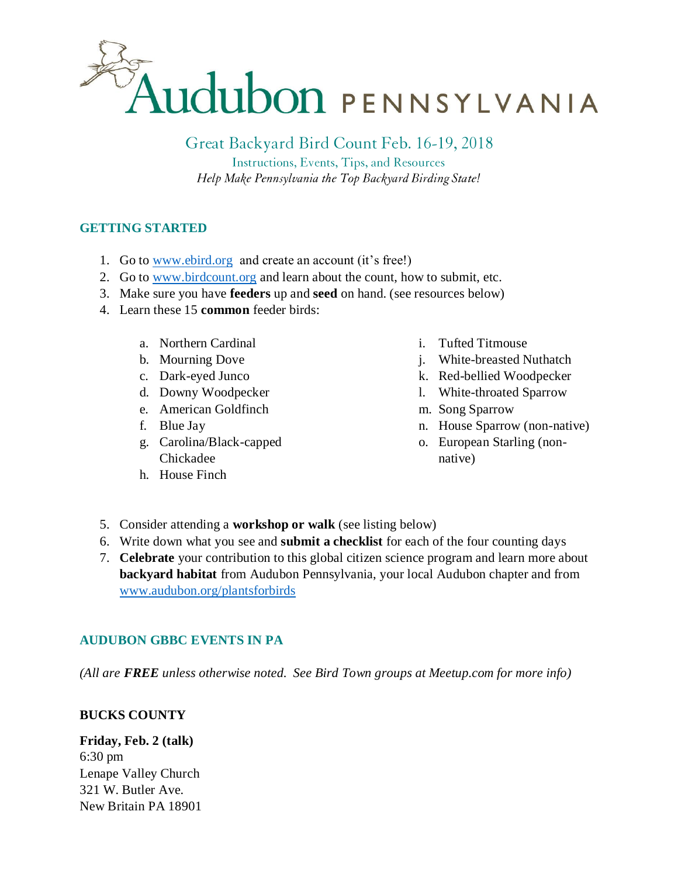

Great Backyard Bird Count Feb. 16-19, 2018 Instructions, Events, Tips, and Resources

Help Make Pennsylvania the Top Backyard Birding State!

## **GETTING STARTED**

- 1. Go to [www.ebird.org](http://www.ebird.org/) and create an account (it's free!)
- 2. Go to [www.birdcount.org](http://www.birdcount.org/) and learn about the count, how to submit, etc.
- 3. Make sure you have **feeders** up and **seed** on hand. (see resources below)
- 4. Learn these 15 **common** feeder birds:
	- a. Northern Cardinal
	- b. Mourning Dove
	- c. Dark-eyed Junco
	- d. Downy Woodpecker
	- e. American Goldfinch
	- f. Blue Jay
	- g. Carolina/Black-capped Chickadee
	- h. House Finch
- i. Tufted Titmouse
- j. White-breasted Nuthatch
- k. Red-bellied Woodpecker
- l. White-throated Sparrow
- m. Song Sparrow
- n. House Sparrow (non-native)
- o. European Starling (nonnative)
- 5. Consider attending a **workshop or walk** (see listing below)
- 6. Write down what you see and **submit a checklist** for each of the four counting days
- 7. **Celebrate** your contribution to this global citizen science program and learn more about **backyard habitat** from Audubon Pennsylvania, your local Audubon chapter and from [www.audubon.org/plantsforbirds](http://www.audubon.org/plantsforbirds)

## **AUDUBON GBBC EVENTS IN PA**

*(All are FREE unless otherwise noted. See Bird Town groups at Meetup.com for more info)*

## **BUCKS COUNTY**

**Friday, Feb. 2 (talk)** 6:30 pm Lenape Valley Church 321 W. Butler Ave. New Britain PA 18901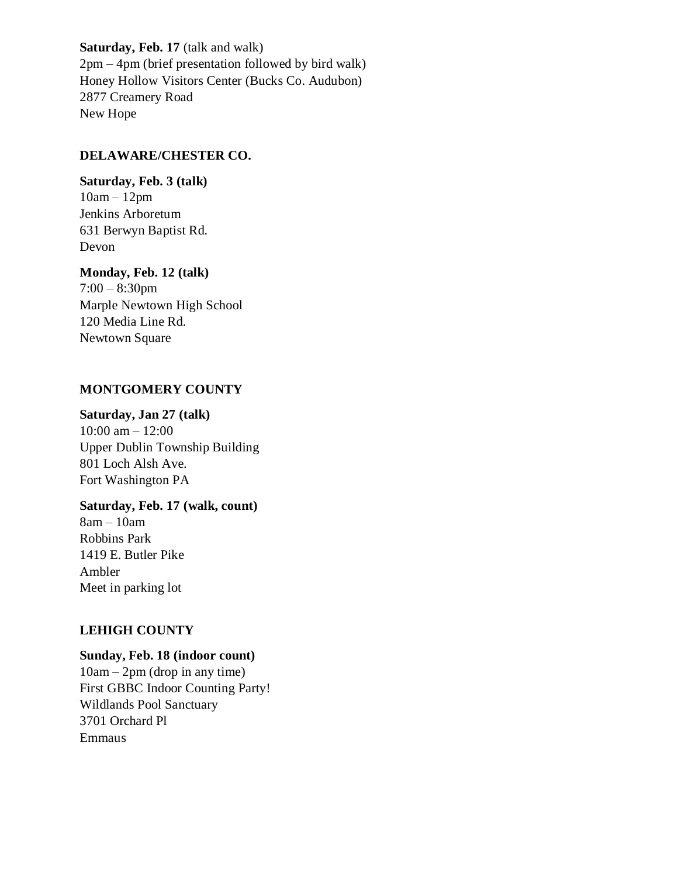### **Saturday, Feb. 17** (talk and walk)

2pm – 4pm (brief presentation followed by bird walk) Honey Hollow Visitors Center (Bucks Co. Audubon) 2877 Creamery Road New Hope

## **DELAWARE/CHESTER CO.**

**Saturday, Feb. 3 (talk)** 10am – 12pm Jenkins Arboretum 631 Berwyn Baptist Rd. Devon

**Monday, Feb. 12 (talk)** 7:00 – 8:30pm Marple Newtown High School 120 Media Line Rd. Newtown Square

## **MONTGOMERY COUNTY**

**Saturday, Jan 27 (talk)**

10:00 am – 12:00 Upper Dublin Township Building 801 Loch Alsh Ave. Fort Washington PA

## **Saturday, Feb. 17 (walk, count)**

8am – 10am Robbins Park 1419 E. Butler Pike Ambler Meet in parking lot

## **LEHIGH COUNTY**

## **Sunday, Feb. 18 (indoor count)**

 $10$ am –  $2$ pm (drop in any time) First GBBC Indoor Counting Party! Wildlands Pool Sanctuary 3701 Orchard Pl Emmaus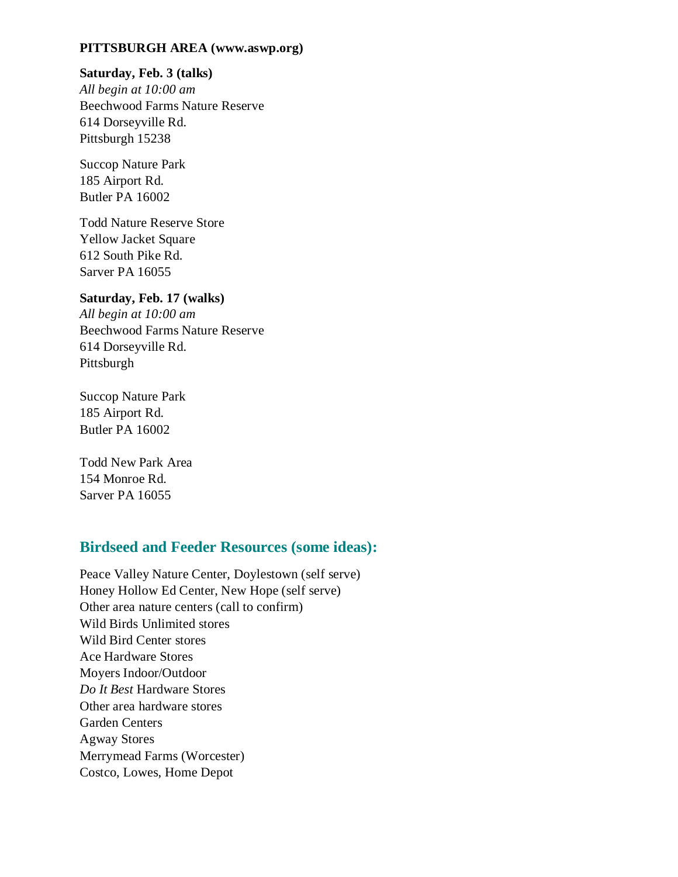#### **PITTSBURGH AREA (www.aswp.org)**

#### **Saturday, Feb. 3 (talks)**

*All begin at 10:00 am*  Beechwood Farms Nature Reserve 614 Dorseyville Rd. Pittsburgh 15238

Succop Nature Park 185 Airport Rd. Butler PA 16002

Todd Nature Reserve Store Yellow Jacket Square 612 South Pike Rd. Sarver PA 16055

#### **Saturday, Feb. 17 (walks)**

*All begin at 10:00 am* Beechwood Farms Nature Reserve 614 Dorseyville Rd. Pittsburgh

Succop Nature Park 185 Airport Rd. Butler PA 16002

Todd New Park Area 154 Monroe Rd. Sarver PA 16055

# **Birdseed and Feeder Resources (some ideas):**

Peace Valley Nature Center, Doylestown (self serve) Honey Hollow Ed Center, New Hope (self serve) Other area nature centers (call to confirm) Wild Birds Unlimited stores Wild Bird Center stores Ace Hardware Stores Moyers Indoor/Outdoor *Do It Best* Hardware Stores Other area hardware stores Garden Centers Agway Stores Merrymead Farms (Worcester) Costco, Lowes, Home Depot